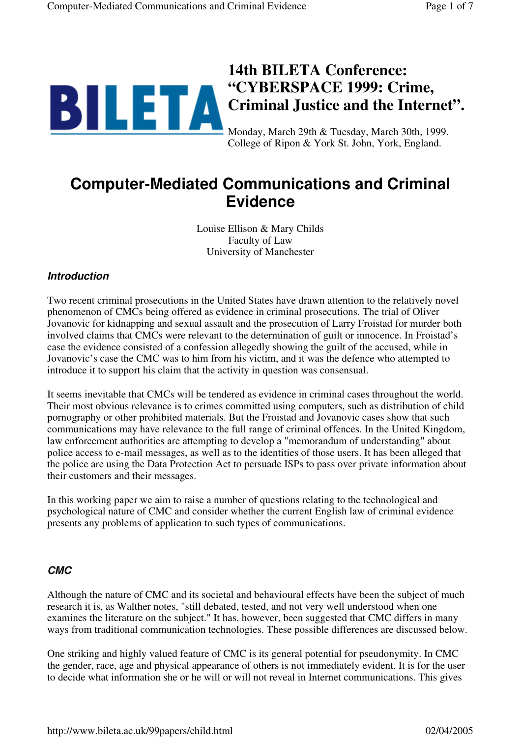# **14th BILETA Conference: "CYBERSPACE 1999: Crime, Criminal Justice and the Internet".** Monday, March 29th & Tuesday, March 30th, 1999.

College of Ripon & York St. John, York, England.

# **Computer-Mediated Communications and Criminal Evidence**

Louise Ellison & Mary Childs Faculty of Law University of Manchester

#### **Introduction**

Two recent criminal prosecutions in the United States have drawn attention to the relatively novel phenomenon of CMCs being offered as evidence in criminal prosecutions. The trial of Oliver Jovanovic for kidnapping and sexual assault and the prosecution of Larry Froistad for murder both involved claims that CMCs were relevant to the determination of guilt or innocence. In Froistad's case the evidence consisted of a confession allegedly showing the guilt of the accused, while in Jovanovic's case the CMC was to him from his victim, and it was the defence who attempted to introduce it to support his claim that the activity in question was consensual.

It seems inevitable that CMCs will be tendered as evidence in criminal cases throughout the world. Their most obvious relevance is to crimes committed using computers, such as distribution of child pornography or other prohibited materials. But the Froistad and Jovanovic cases show that such communications may have relevance to the full range of criminal offences. In the United Kingdom, law enforcement authorities are attempting to develop a "memorandum of understanding" about police access to e-mail messages, as well as to the identities of those users. It has been alleged that the police are using the Data Protection Act to persuade ISPs to pass over private information about their customers and their messages.

In this working paper we aim to raise a number of questions relating to the technological and psychological nature of CMC and consider whether the current English law of criminal evidence presents any problems of application to such types of communications.

#### **CMC**

Although the nature of CMC and its societal and behavioural effects have been the subject of much research it is, as Walther notes, "still debated, tested, and not very well understood when one examines the literature on the subject." It has, however, been suggested that CMC differs in many ways from traditional communication technologies. These possible differences are discussed below.

One striking and highly valued feature of CMC is its general potential for pseudonymity. In CMC the gender, race, age and physical appearance of others is not immediately evident. It is for the user to decide what information she or he will or will not reveal in Internet communications. This gives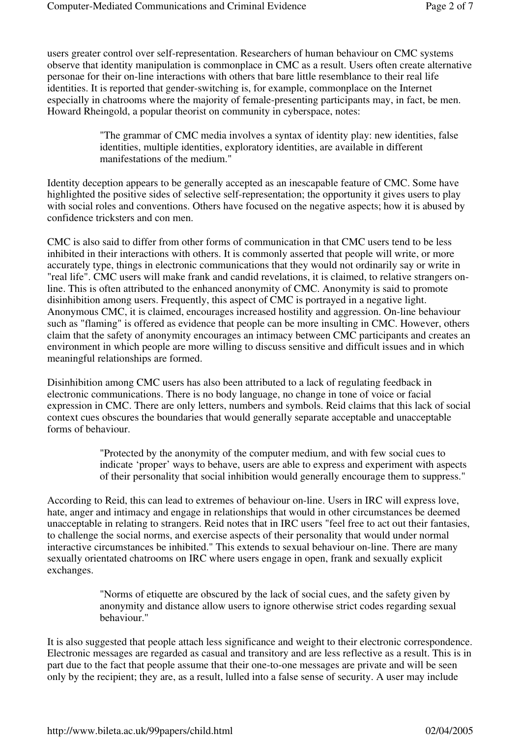users greater control over self-representation. Researchers of human behaviour on CMC systems observe that identity manipulation is commonplace in CMC as a result. Users often create alternative personae for their on-line interactions with others that bare little resemblance to their real life identities. It is reported that gender-switching is, for example, commonplace on the Internet especially in chatrooms where the majority of female-presenting participants may, in fact, be men. Howard Rheingold, a popular theorist on community in cyberspace, notes:

> "The grammar of CMC media involves a syntax of identity play: new identities, false identities, multiple identities, exploratory identities, are available in different manifestations of the medium."

Identity deception appears to be generally accepted as an inescapable feature of CMC. Some have highlighted the positive sides of selective self-representation; the opportunity it gives users to play with social roles and conventions. Others have focused on the negative aspects; how it is abused by confidence tricksters and con men.

CMC is also said to differ from other forms of communication in that CMC users tend to be less inhibited in their interactions with others. It is commonly asserted that people will write, or more accurately type, things in electronic communications that they would not ordinarily say or write in "real life". CMC users will make frank and candid revelations, it is claimed, to relative strangers online. This is often attributed to the enhanced anonymity of CMC. Anonymity is said to promote disinhibition among users. Frequently, this aspect of CMC is portrayed in a negative light. Anonymous CMC, it is claimed, encourages increased hostility and aggression. On-line behaviour such as "flaming" is offered as evidence that people can be more insulting in CMC. However, others claim that the safety of anonymity encourages an intimacy between CMC participants and creates an environment in which people are more willing to discuss sensitive and difficult issues and in which meaningful relationships are formed.

Disinhibition among CMC users has also been attributed to a lack of regulating feedback in electronic communications. There is no body language, no change in tone of voice or facial expression in CMC. There are only letters, numbers and symbols. Reid claims that this lack of social context cues obscures the boundaries that would generally separate acceptable and unacceptable forms of behaviour.

> "Protected by the anonymity of the computer medium, and with few social cues to indicate 'proper' ways to behave, users are able to express and experiment with aspects of their personality that social inhibition would generally encourage them to suppress."

According to Reid, this can lead to extremes of behaviour on-line. Users in IRC will express love, hate, anger and intimacy and engage in relationships that would in other circumstances be deemed unacceptable in relating to strangers. Reid notes that in IRC users "feel free to act out their fantasies, to challenge the social norms, and exercise aspects of their personality that would under normal interactive circumstances be inhibited." This extends to sexual behaviour on-line. There are many sexually orientated chatrooms on IRC where users engage in open, frank and sexually explicit exchanges.

> "Norms of etiquette are obscured by the lack of social cues, and the safety given by anonymity and distance allow users to ignore otherwise strict codes regarding sexual behaviour."

It is also suggested that people attach less significance and weight to their electronic correspondence. Electronic messages are regarded as casual and transitory and are less reflective as a result. This is in part due to the fact that people assume that their one-to-one messages are private and will be seen only by the recipient; they are, as a result, lulled into a false sense of security. A user may include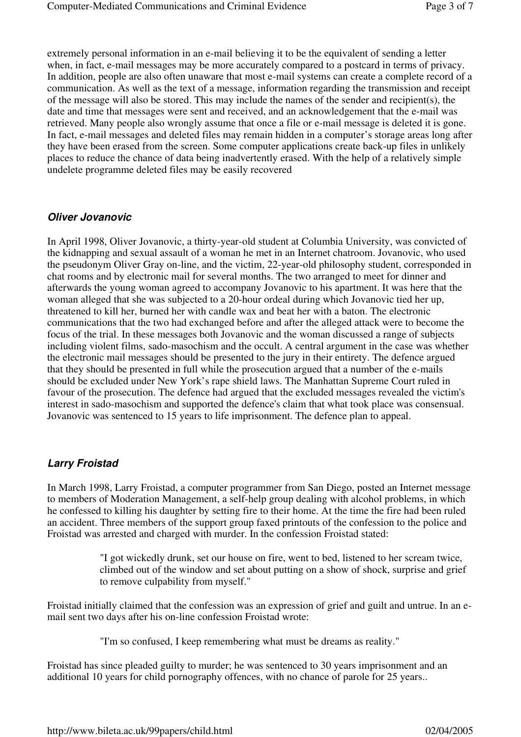extremely personal information in an e-mail believing it to be the equivalent of sending a letter when, in fact, e-mail messages may be more accurately compared to a postcard in terms of privacy. In addition, people are also often unaware that most e-mail systems can create a complete record of a communication. As well as the text of a message, information regarding the transmission and receipt of the message will also be stored. This may include the names of the sender and recipient(s), the date and time that messages were sent and received, and an acknowledgement that the e-mail was retrieved. Many people also wrongly assume that once a file or e-mail message is deleted it is gone. In fact, e-mail messages and deleted files may remain hidden in a computer's storage areas long after they have been erased from the screen. Some computer applications create back-up files in unlikely places to reduce the chance of data being inadvertently erased. With the help of a relatively simple undelete programme deleted files may be easily recovered

#### **Oliver Jovanovic**

In April 1998, Oliver Jovanovic, a thirty-year-old student at Columbia University, was convicted of the kidnapping and sexual assault of a woman he met in an Internet chatroom. Jovanovic, who used the pseudonym Oliver Gray on-line, and the victim, 22-year-old philosophy student, corresponded in chat rooms and by electronic mail for several months. The two arranged to meet for dinner and afterwards the young woman agreed to accompany Jovanovic to his apartment. It was here that the woman alleged that she was subjected to a 20-hour ordeal during which Jovanovic tied her up, threatened to kill her, burned her with candle wax and beat her with a baton. The electronic communications that the two had exchanged before and after the alleged attack were to become the focus of the trial. In these messages both Jovanovic and the woman discussed a range of subjects including violent films, sado-masochism and the occult. A central argument in the case was whether the electronic mail messages should be presented to the jury in their entirety. The defence argued that they should be presented in full while the prosecution argued that a number of the e-mails should be excluded under New York's rape shield laws. The Manhattan Supreme Court ruled in favour of the prosecution. The defence had argued that the excluded messages revealed the victim's interest in sado-masochism and supported the defence's claim that what took place was consensual. Jovanovic was sentenced to 15 years to life imprisonment. The defence plan to appeal.

#### **Larry Froistad**

In March 1998, Larry Froistad, a computer programmer from San Diego, posted an Internet message to members of Moderation Management, a self-help group dealing with alcohol problems, in which he confessed to killing his daughter by setting fire to their home. At the time the fire had been ruled an accident. Three members of the support group faxed printouts of the confession to the police and Froistad was arrested and charged with murder. In the confession Froistad stated:

> "I got wickedly drunk, set our house on fire, went to bed, listened to her scream twice, climbed out of the window and set about putting on a show of shock, surprise and grief to remove culpability from myself."

Froistad initially claimed that the confession was an expression of grief and guilt and untrue. In an email sent two days after his on-line confession Froistad wrote:

"I'm so confused, I keep remembering what must be dreams as reality."

Froistad has since pleaded guilty to murder; he was sentenced to 30 years imprisonment and an additional 10 years for child pornography offences, with no chance of parole for 25 years..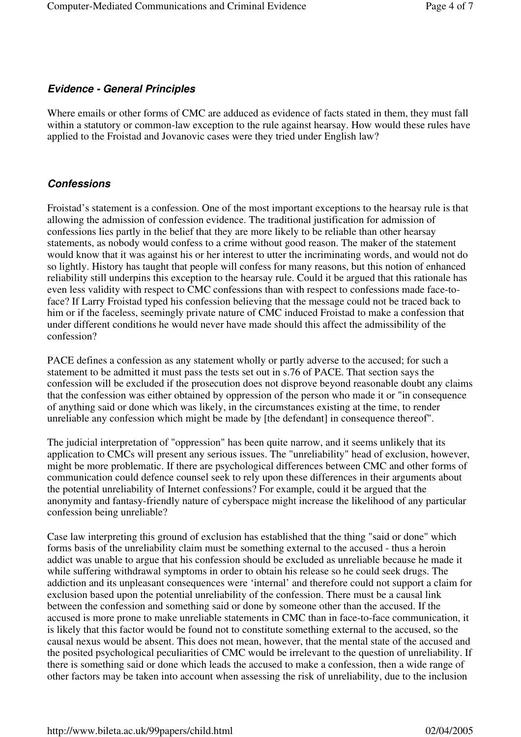#### **Evidence - General Principles**

Where emails or other forms of CMC are adduced as evidence of facts stated in them, they must fall within a statutory or common-law exception to the rule against hearsay. How would these rules have applied to the Froistad and Jovanovic cases were they tried under English law?

#### **Confessions**

Froistad's statement is a confession. One of the most important exceptions to the hearsay rule is that allowing the admission of confession evidence. The traditional justification for admission of confessions lies partly in the belief that they are more likely to be reliable than other hearsay statements, as nobody would confess to a crime without good reason. The maker of the statement would know that it was against his or her interest to utter the incriminating words, and would not do so lightly. History has taught that people will confess for many reasons, but this notion of enhanced reliability still underpins this exception to the hearsay rule. Could it be argued that this rationale has even less validity with respect to CMC confessions than with respect to confessions made face-toface? If Larry Froistad typed his confession believing that the message could not be traced back to him or if the faceless, seemingly private nature of CMC induced Froistad to make a confession that under different conditions he would never have made should this affect the admissibility of the confession?

PACE defines a confession as any statement wholly or partly adverse to the accused; for such a statement to be admitted it must pass the tests set out in s.76 of PACE. That section says the confession will be excluded if the prosecution does not disprove beyond reasonable doubt any claims that the confession was either obtained by oppression of the person who made it or "in consequence of anything said or done which was likely, in the circumstances existing at the time, to render unreliable any confession which might be made by [the defendant] in consequence thereof".

The judicial interpretation of "oppression" has been quite narrow, and it seems unlikely that its application to CMCs will present any serious issues. The "unreliability" head of exclusion, however, might be more problematic. If there are psychological differences between CMC and other forms of communication could defence counsel seek to rely upon these differences in their arguments about the potential unreliability of Internet confessions? For example, could it be argued that the anonymity and fantasy-friendly nature of cyberspace might increase the likelihood of any particular confession being unreliable?

Case law interpreting this ground of exclusion has established that the thing "said or done" which forms basis of the unreliability claim must be something external to the accused - thus a heroin addict was unable to argue that his confession should be excluded as unreliable because he made it while suffering withdrawal symptoms in order to obtain his release so he could seek drugs. The addiction and its unpleasant consequences were 'internal' and therefore could not support a claim for exclusion based upon the potential unreliability of the confession. There must be a causal link between the confession and something said or done by someone other than the accused. If the accused is more prone to make unreliable statements in CMC than in face-to-face communication, it is likely that this factor would be found not to constitute something external to the accused, so the causal nexus would be absent. This does not mean, however, that the mental state of the accused and the posited psychological peculiarities of CMC would be irrelevant to the question of unreliability. If there is something said or done which leads the accused to make a confession, then a wide range of other factors may be taken into account when assessing the risk of unreliability, due to the inclusion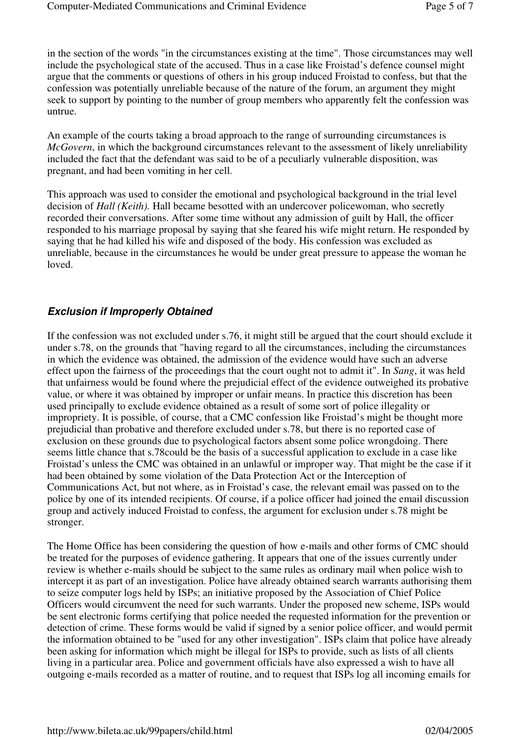in the section of the words "in the circumstances existing at the time". Those circumstances may well include the psychological state of the accused. Thus in a case like Froistad's defence counsel might argue that the comments or questions of others in his group induced Froistad to confess, but that the confession was potentially unreliable because of the nature of the forum, an argument they might seek to support by pointing to the number of group members who apparently felt the confession was untrue.

An example of the courts taking a broad approach to the range of surrounding circumstances is *McGovern*, in which the background circumstances relevant to the assessment of likely unreliability included the fact that the defendant was said to be of a peculiarly vulnerable disposition, was pregnant, and had been vomiting in her cell.

This approach was used to consider the emotional and psychological background in the trial level decision of *Hall (Keith).* Hall became besotted with an undercover policewoman, who secretly recorded their conversations. After some time without any admission of guilt by Hall, the officer responded to his marriage proposal by saying that she feared his wife might return. He responded by saying that he had killed his wife and disposed of the body. His confession was excluded as unreliable, because in the circumstances he would be under great pressure to appease the woman he loved.

#### **Exclusion if Improperly Obtained**

If the confession was not excluded under s.76, it might still be argued that the court should exclude it under s.78, on the grounds that "having regard to all the circumstances, including the circumstances in which the evidence was obtained, the admission of the evidence would have such an adverse effect upon the fairness of the proceedings that the court ought not to admit it". In *Sang*, it was held that unfairness would be found where the prejudicial effect of the evidence outweighed its probative value, or where it was obtained by improper or unfair means. In practice this discretion has been used principally to exclude evidence obtained as a result of some sort of police illegality or impropriety. It is possible, of course, that a CMC confession like Froistad's might be thought more prejudicial than probative and therefore excluded under s.78, but there is no reported case of exclusion on these grounds due to psychological factors absent some police wrongdoing. There seems little chance that s.78could be the basis of a successful application to exclude in a case like Froistad's unless the CMC was obtained in an unlawful or improper way. That might be the case if it had been obtained by some violation of the Data Protection Act or the Interception of Communications Act, but not where, as in Froistad's case, the relevant email was passed on to the police by one of its intended recipients. Of course, if a police officer had joined the email discussion group and actively induced Froistad to confess, the argument for exclusion under s.78 might be stronger.

The Home Office has been considering the question of how e-mails and other forms of CMC should be treated for the purposes of evidence gathering. It appears that one of the issues currently under review is whether e-mails should be subject to the same rules as ordinary mail when police wish to intercept it as part of an investigation. Police have already obtained search warrants authorising them to seize computer logs held by ISPs; an initiative proposed by the Association of Chief Police Officers would circumvent the need for such warrants. Under the proposed new scheme, ISPs would be sent electronic forms certifying that police needed the requested information for the prevention or detection of crime. These forms would be valid if signed by a senior police officer, and would permit the information obtained to be "used for any other investigation". ISPs claim that police have already been asking for information which might be illegal for ISPs to provide, such as lists of all clients living in a particular area. Police and government officials have also expressed a wish to have all outgoing e-mails recorded as a matter of routine, and to request that ISPs log all incoming emails for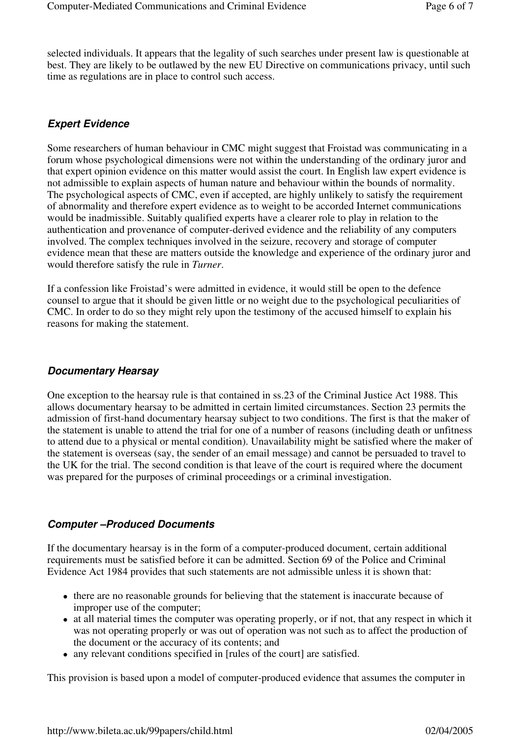selected individuals. It appears that the legality of such searches under present law is questionable at best. They are likely to be outlawed by the new EU Directive on communications privacy, until such time as regulations are in place to control such access.

## **Expert Evidence**

Some researchers of human behaviour in CMC might suggest that Froistad was communicating in a forum whose psychological dimensions were not within the understanding of the ordinary juror and that expert opinion evidence on this matter would assist the court. In English law expert evidence is not admissible to explain aspects of human nature and behaviour within the bounds of normality. The psychological aspects of CMC, even if accepted, are highly unlikely to satisfy the requirement of abnormality and therefore expert evidence as to weight to be accorded Internet communications would be inadmissible. Suitably qualified experts have a clearer role to play in relation to the authentication and provenance of computer-derived evidence and the reliability of any computers involved. The complex techniques involved in the seizure, recovery and storage of computer evidence mean that these are matters outside the knowledge and experience of the ordinary juror and would therefore satisfy the rule in *Turner*.

If a confession like Froistad's were admitted in evidence, it would still be open to the defence counsel to argue that it should be given little or no weight due to the psychological peculiarities of CMC. In order to do so they might rely upon the testimony of the accused himself to explain his reasons for making the statement.

#### **Documentary Hearsay**

One exception to the hearsay rule is that contained in ss.23 of the Criminal Justice Act 1988. This allows documentary hearsay to be admitted in certain limited circumstances. Section 23 permits the admission of first-hand documentary hearsay subject to two conditions. The first is that the maker of the statement is unable to attend the trial for one of a number of reasons (including death or unfitness to attend due to a physical or mental condition). Unavailability might be satisfied where the maker of the statement is overseas (say, the sender of an email message) and cannot be persuaded to travel to the UK for the trial. The second condition is that leave of the court is required where the document was prepared for the purposes of criminal proceedings or a criminal investigation.

#### **Computer –Produced Documents**

If the documentary hearsay is in the form of a computer-produced document, certain additional requirements must be satisfied before it can be admitted. Section 69 of the Police and Criminal Evidence Act 1984 provides that such statements are not admissible unless it is shown that:

- there are no reasonable grounds for believing that the statement is inaccurate because of improper use of the computer;
- at all material times the computer was operating properly, or if not, that any respect in which it was not operating properly or was out of operation was not such as to affect the production of the document or the accuracy of its contents; and
- any relevant conditions specified in [rules of the court] are satisfied.

This provision is based upon a model of computer-produced evidence that assumes the computer in